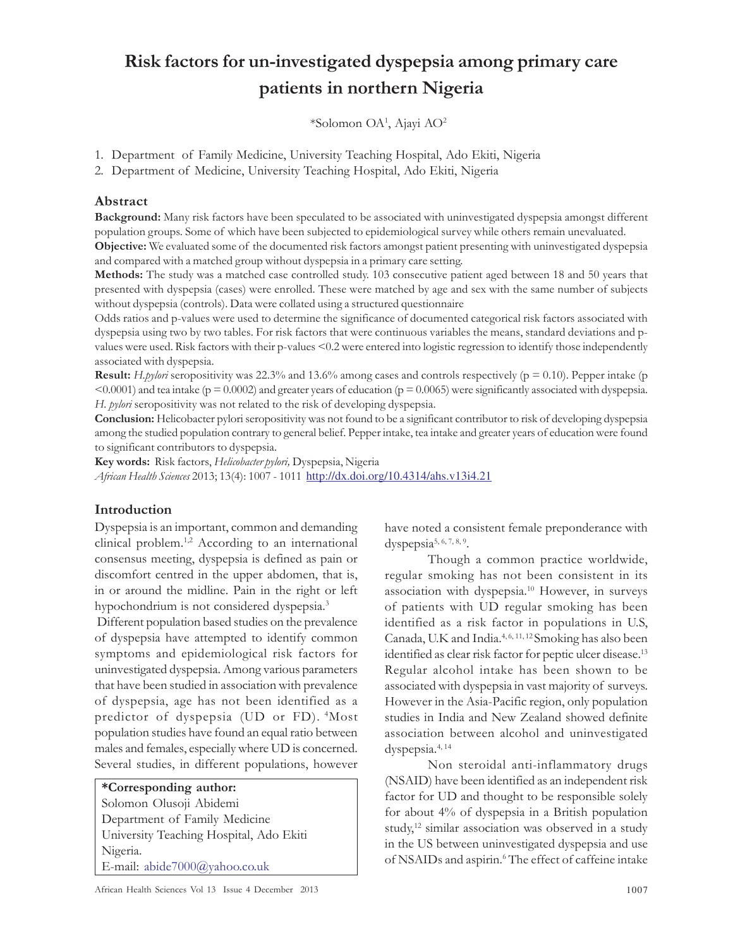# Risk factors for un-investigated dyspepsia among primary care patients in northern Nigeria

\*Solomon OA<sup>1</sup> , Ajayi AO<sup>2</sup>

- 1. Department of Family Medicine, University Teaching Hospital, Ado Ekiti, Nigeria
- 2. Department of Medicine, University Teaching Hospital, Ado Ekiti, Nigeria

#### Abstract

Background: Many risk factors have been speculated to be associated with uninvestigated dyspepsia amongst different population groups. Some of which have been subjected to epidemiological survey while others remain unevaluated. Objective: We evaluated some of the documented risk factors amongst patient presenting with uninvestigated dyspepsia

and compared with a matched group without dyspepsia in a primary care setting.

Methods: The study was a matched case controlled study. 103 consecutive patient aged between 18 and 50 years that presented with dyspepsia (cases) were enrolled. These were matched by age and sex with the same number of subjects without dyspepsia (controls). Data were collated using a structured questionnaire

Odds ratios and p-values were used to determine the significance of documented categorical risk factors associated with dyspepsia using two by two tables. For risk factors that were continuous variables the means, standard deviations and pvalues were used. Risk factors with their p-values <0.2 were entered into logistic regression to identify those independently associated with dyspepsia.

**Result:** H.pylori seropositivity was 22.3% and 13.6% among cases and controls respectively ( $p = 0.10$ ). Pepper intake ( $p$ )  $\leq 0.0001$ ) and tea intake (p = 0.0002) and greater years of education (p = 0.0065) were significantly associated with dyspepsia. H. pylori seropositivity was not related to the risk of developing dyspepsia.

Conclusion: Helicobacter pylori seropositivity was not found to be a significant contributor to risk of developing dyspepsia among the studied population contrary to general belief. Pepper intake, tea intake and greater years of education were found to significant contributors to dyspepsia.

Key words: Risk factors, Helicobacter pylori, Dyspepsia, Nigeria African Health Sciences 2013; 13(4): 1007 - 1011 http://dx.doi.org/10.4314/ahs.v13i4.21

## Introduction

Dyspepsia is an important, common and demanding clinical problem.1,2 According to an international consensus meeting, dyspepsia is defined as pain or discomfort centred in the upper abdomen, that is, in or around the midline. Pain in the right or left hypochondrium is not considered dyspepsia.<sup>3</sup>

 Different population based studies on the prevalence of dyspepsia have attempted to identify common symptoms and epidemiological risk factors for uninvestigated dyspepsia. Among various parameters that have been studied in association with prevalence of dyspepsia, age has not been identified as a predictor of dyspepsia (UD or FD). <sup>4</sup>Most population studies have found an equal ratio between males and females, especially where UD is concerned. Several studies, in different populations, however

\*Corresponding author: Solomon Olusoji Abidemi Department of Family Medicine University Teaching Hospital, Ado Ekiti Nigeria. E-mail: abide7000@yahoo.co.uk

have noted a consistent female preponderance with dyspepsia<sup>5, 6, 7, 8, 9</sup>.

Though a common practice worldwide, regular smoking has not been consistent in its association with dyspepsia.<sup>10</sup> However, in surveys of patients with UD regular smoking has been identified as a risk factor in populations in U.S, Canada, U.K and India.4, 6, 11, 12 Smoking has also been identified as clear risk factor for peptic ulcer disease.<sup>13</sup> Regular alcohol intake has been shown to be associated with dyspepsia in vast majority of surveys. However in the Asia-Pacific region, only population studies in India and New Zealand showed definite association between alcohol and uninvestigated dyspepsia.4, 14

Non steroidal anti-inflammatory drugs (NSAID) have been identified as an independent risk factor for UD and thought to be responsible solely for about 4% of dyspepsia in a British population study,<sup>12</sup> similar association was observed in a study in the US between uninvestigated dyspepsia and use of NSAIDs and aspirin.<sup>6</sup> The effect of caffeine intake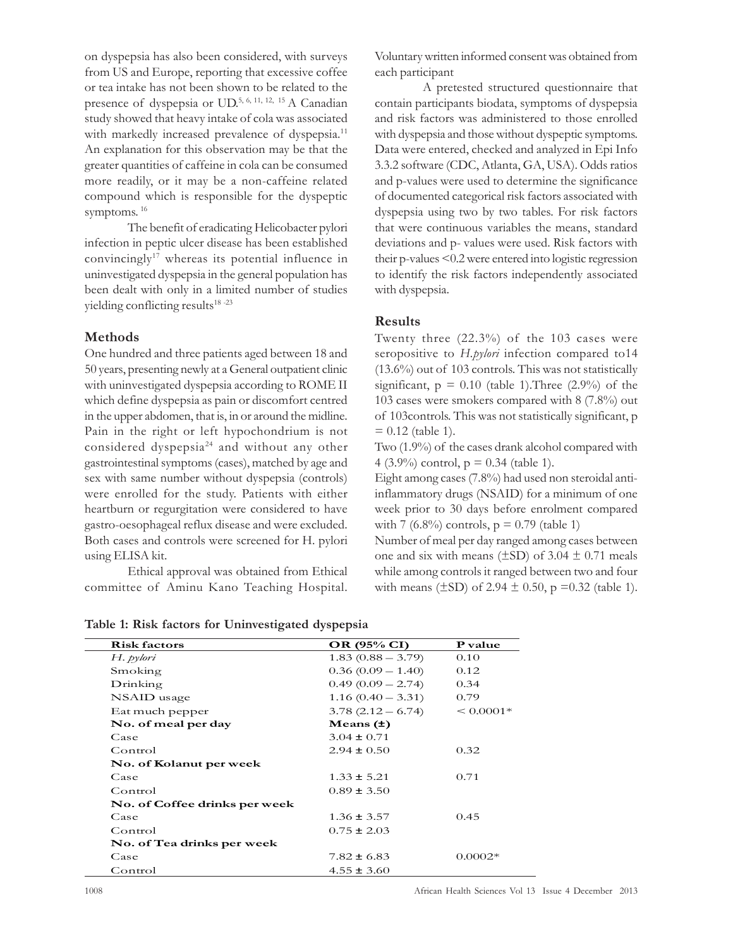on dyspepsia has also been considered, with surveys from US and Europe, reporting that excessive coffee or tea intake has not been shown to be related to the presence of dyspepsia or UD.<sup>5, 6, 11, 12, 15</sup> A Canadian study showed that heavy intake of cola was associated with markedly increased prevalence of dyspepsia.<sup>11</sup> An explanation for this observation may be that the greater quantities of caffeine in cola can be consumed more readily, or it may be a non-caffeine related compound which is responsible for the dyspeptic symptoms. 16

The benefit of eradicating Helicobacter pylori infection in peptic ulcer disease has been established convincingly<sup>17</sup> whereas its potential influence in uninvestigated dyspepsia in the general population has been dealt with only in a limited number of studies yielding conflicting results $18 - 23$ 

#### Methods

One hundred and three patients aged between 18 and 50 years, presenting newly at a General outpatient clinic with uninvestigated dyspepsia according to ROME II which define dyspepsia as pain or discomfort centred in the upper abdomen, that is, in or around the midline. Pain in the right or left hypochondrium is not considered dyspepsia<sup>24</sup> and without any other gastrointestinal symptoms (cases), matched by age and sex with same number without dyspepsia (controls) were enrolled for the study. Patients with either heartburn or regurgitation were considered to have gastro-oesophageal reflux disease and were excluded. Both cases and controls were screened for H. pylori using ELISA kit.

Ethical approval was obtained from Ethical committee of Aminu Kano Teaching Hospital. Voluntary written informed consent was obtained from each participant

 A pretested structured questionnaire that contain participants biodata, symptoms of dyspepsia and risk factors was administered to those enrolled with dyspepsia and those without dyspeptic symptoms. Data were entered, checked and analyzed in Epi Info 3.3.2 software (CDC, Atlanta, GA, USA). Odds ratios and p-values were used to determine the significance of documented categorical risk factors associated with dyspepsia using two by two tables. For risk factors that were continuous variables the means, standard deviations and p- values were used. Risk factors with their p-values <0.2 were entered into logistic regression to identify the risk factors independently associated with dyspepsia.

## Results

Twenty three (22.3%) of the 103 cases were seropositive to H.pylori infection compared to14 (13.6%) out of 103 controls. This was not statistically significant,  $p = 0.10$  (table 1). Three (2.9%) of the 103 cases were smokers compared with 8 (7.8%) out of 103controls. This was not statistically significant, p  $= 0.12$  (table 1).

Two (1.9%) of the cases drank alcohol compared with 4 (3.9%) control,  $p = 0.34$  (table 1).

Eight among cases (7.8%) had used non steroidal antiinflammatory drugs (NSAID) for a minimum of one week prior to 30 days before enrolment compared with 7 (6.8%) controls,  $p = 0.79$  (table 1)

Number of meal per day ranged among cases between one and six with means ( $\pm$ SD) of 3.04  $\pm$  0.71 meals while among controls it ranged between two and four with means ( $\pm$ SD) of 2.94  $\pm$  0.50, p =0.32 (table 1).

| <b>Risk factors</b>           | OR (95% CI)         | P value     |  |
|-------------------------------|---------------------|-------------|--|
| H. pylori                     | $1.83(0.88 - 3.79)$ | 0.10        |  |
| Smoking                       | $0.36(0.09 - 1.40)$ | 0.12        |  |
| Drinking                      | $0.49(0.09 - 2.74)$ | 0.34        |  |
| NSAID usage                   | $1.16(0.40 - 3.31)$ | 0.79        |  |
| Eat much pepper               | $3.78(2.12 - 6.74)$ | $< 0.0001*$ |  |
| No. of meal per day           | Means $(\pm)$       |             |  |
| Case                          | $3.04 \pm 0.71$     |             |  |
| Control                       | $2.94 \pm 0.50$     | 0.32        |  |
| No. of Kolanut per week       |                     |             |  |
| Case                          | $1.33 \pm 5.21$     | 0.71        |  |
| Control                       | $0.89 \pm 3.50$     |             |  |
| No. of Coffee drinks per week |                     |             |  |
| Case                          | $1.36 \pm 3.57$     | 0.45        |  |
| Control                       | $0.75 \pm 2.03$     |             |  |
| No. of Tea drinks per week    |                     |             |  |
| Case                          | $7.82 \pm 6.83$     | $0.0002*$   |  |
| Control                       | $4.55 \pm 3.60$     |             |  |

Table 1: Risk factors for Uninvestigated dyspepsia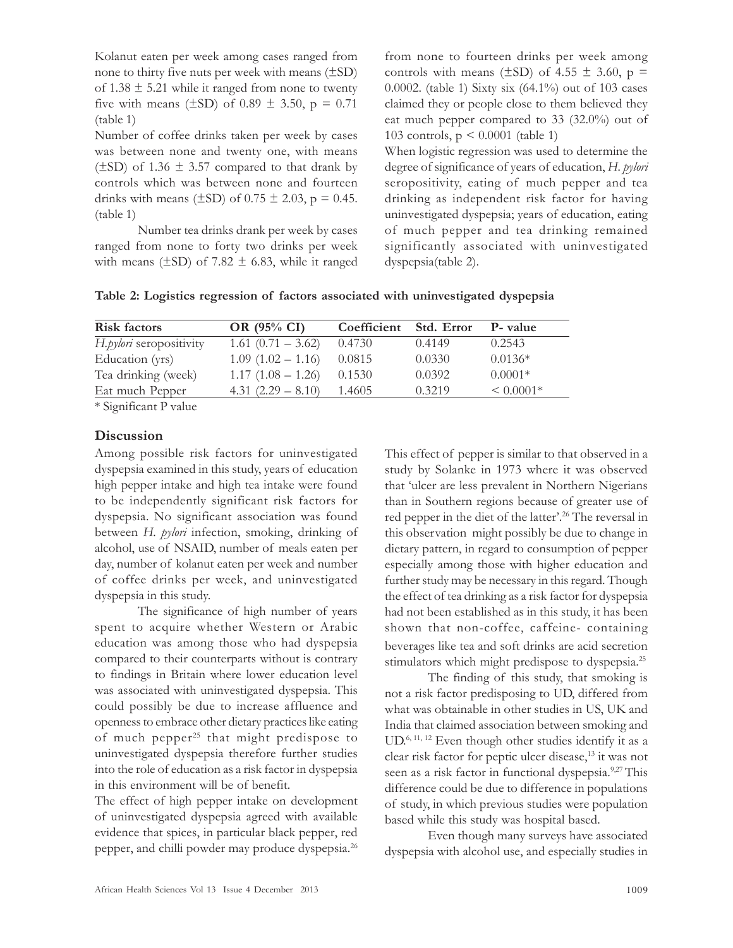Kolanut eaten per week among cases ranged from none to thirty five nuts per week with means (±SD) of  $1.38 \pm 5.21$  while it ranged from none to twenty five with means ( $\pm$ SD) of 0.89  $\pm$  3.50, p = 0.71 (table 1)

Number of coffee drinks taken per week by cases was between none and twenty one, with means  $(\pm SD)$  of 1.36  $\pm$  3.57 compared to that drank by controls which was between none and fourteen drinks with means ( $\pm$ SD) of 0.75  $\pm$  2.03, p = 0.45. (table 1)

Number tea drinks drank per week by cases ranged from none to forty two drinks per week with means ( $\pm$ SD) of 7.82  $\pm$  6.83, while it ranged from none to fourteen drinks per week among controls with means ( $\pm$ SD) of 4.55  $\pm$  3.60, p = 0.0002. (table 1) Sixty six (64.1%) out of 103 cases claimed they or people close to them believed they eat much pepper compared to 33 (32.0%) out of 103 controls, p < 0.0001 (table 1)

When logistic regression was used to determine the degree of significance of years of education, H. pylori seropositivity, eating of much pepper and tea drinking as independent risk factor for having uninvestigated dyspepsia; years of education, eating of much pepper and tea drinking remained significantly associated with uninvestigated dyspepsia(table 2).

Table 2: Logistics regression of factors associated with uninvestigated dyspepsia

| <b>Risk factors</b>                       | OR (95% CI)          | Coefficient | Std. Error | <b>P</b> - value |
|-------------------------------------------|----------------------|-------------|------------|------------------|
| H.pylori seropositivity                   | $1.61(0.71 - 3.62)$  | 0.4730      | 0.4149     | 0.2543           |
| Education (yrs)                           | $1.09(1.02 - 1.16)$  | 0.0815      | 0.0330     | $0.0136*$        |
| Tea drinking (week)                       | $1.17(1.08 - 1.26)$  | 0.1530      | 0.0392     | $0.0001*$        |
| Eat much Pepper                           | 4.31 $(2.29 - 8.10)$ | 1.4605      | 0.3219     | $< 0.0001*$      |
| $\sim$ $\sim$ $\sim$ $\sim$ $\sim$ $\sim$ |                      |             |            |                  |

\* Significant P value

#### **Discussion**

Among possible risk factors for uninvestigated dyspepsia examined in this study, years of education high pepper intake and high tea intake were found to be independently significant risk factors for dyspepsia. No significant association was found between H. pylori infection, smoking, drinking of alcohol, use of NSAID, number of meals eaten per day, number of kolanut eaten per week and number of coffee drinks per week, and uninvestigated dyspepsia in this study.

The significance of high number of years spent to acquire whether Western or Arabic education was among those who had dyspepsia compared to their counterparts without is contrary to findings in Britain where lower education level was associated with uninvestigated dyspepsia. This could possibly be due to increase affluence and openness to embrace other dietary practices like eating of much pepper<sup>25</sup> that might predispose to uninvestigated dyspepsia therefore further studies into the role of education as a risk factor in dyspepsia in this environment will be of benefit.

The effect of high pepper intake on development of uninvestigated dyspepsia agreed with available evidence that spices, in particular black pepper, red pepper, and chilli powder may produce dyspepsia.<sup>26</sup> This effect of pepper is similar to that observed in a study by Solanke in 1973 where it was observed that 'ulcer are less prevalent in Northern Nigerians than in Southern regions because of greater use of red pepper in the diet of the latter'.<sup>26</sup> The reversal in this observation might possibly be due to change in dietary pattern, in regard to consumption of pepper especially among those with higher education and further study may be necessary in this regard. Though the effect of tea drinking as a risk factor for dyspepsia had not been established as in this study, it has been shown that non-coffee, caffeine- containing beverages like tea and soft drinks are acid secretion stimulators which might predispose to dyspepsia.<sup>25</sup>

The finding of this study, that smoking is not a risk factor predisposing to UD, differed from what was obtainable in other studies in US, UK and India that claimed association between smoking and UD. 6, 11, 12 Even though other studies identify it as a clear risk factor for peptic ulcer disease,<sup>13</sup> it was not seen as a risk factor in functional dyspepsia.<sup>9,27</sup> This difference could be due to difference in populations of study, in which previous studies were population based while this study was hospital based.

Even though many surveys have associated dyspepsia with alcohol use, and especially studies in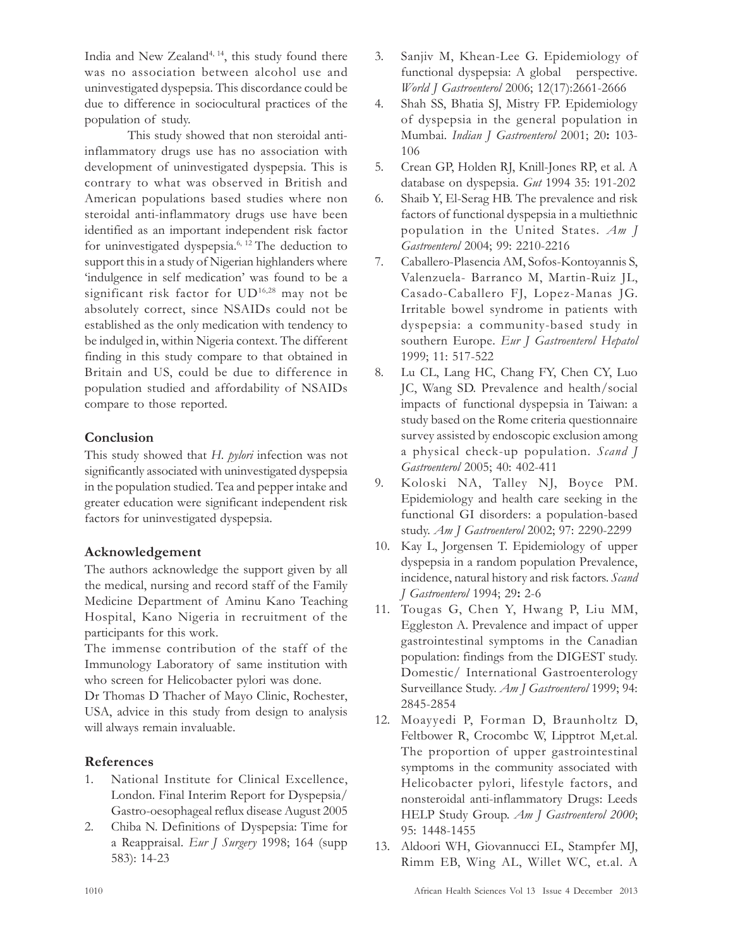India and New Zealand<sup>4, 14</sup>, this study found there was no association between alcohol use and uninvestigated dyspepsia. This discordance could be due to difference in sociocultural practices of the population of study.

This study showed that non steroidal antiinflammatory drugs use has no association with development of uninvestigated dyspepsia. This is contrary to what was observed in British and American populations based studies where non steroidal anti-inflammatory drugs use have been identified as an important independent risk factor for uninvestigated dyspepsia.6, 12 The deduction to support this in a study of Nigerian highlanders where 'indulgence in self medication' was found to be a significant risk factor for UD16,28 may not be absolutely correct, since NSAIDs could not be established as the only medication with tendency to be indulged in, within Nigeria context. The different finding in this study compare to that obtained in Britain and US, could be due to difference in population studied and affordability of NSAIDs compare to those reported.

## Conclusion

This study showed that H. *pylori* infection was not significantly associated with uninvestigated dyspepsia in the population studied. Tea and pepper intake and greater education were significant independent risk factors for uninvestigated dyspepsia.

# Acknowledgement

The authors acknowledge the support given by all the medical, nursing and record staff of the Family Medicine Department of Aminu Kano Teaching Hospital, Kano Nigeria in recruitment of the participants for this work.

The immense contribution of the staff of the Immunology Laboratory of same institution with who screen for Helicobacter pylori was done.

Dr Thomas D Thacher of Mayo Clinic, Rochester, USA, advice in this study from design to analysis will always remain invaluable.

# References

- 1. National Institute for Clinical Excellence, London. Final Interim Report for Dyspepsia/ Gastro-oesophageal reflux disease August 2005
- 2. Chiba N. Definitions of Dyspepsia: Time for a Reappraisal. Eur J Surgery 1998; 164 (supp 583): 14-23
- 3. Sanjiv M, Khean-Lee G. Epidemiology of functional dyspepsia: A global perspective. World J Gastroenterol 2006; 12(17):2661-2666
- 4. Shah SS, Bhatia SJ, Mistry FP. Epidemiology of dyspepsia in the general population in Mumbai. Indian J Gastroenterol 2001; 20: 103-106
- 5. Crean GP, Holden RJ, Knill-Jones RP, et al. A database on dyspepsia. Gut 1994 35: 191-202
- 6. Shaib Y, El-Serag HB. The prevalence and risk factors of functional dyspepsia in a multiethnic population in the United States. Am J Gastroenterol 2004; 99: 2210-2216
- 7. Caballero-Plasencia AM, Sofos-Kontoyannis S, Valenzuela- Barranco M, Martin-Ruiz JL, Casado-Caballero FJ, Lopez-Manas JG. Irritable bowel syndrome in patients with dyspepsia: a community-based study in southern Europe. Eur J Gastroenterol Hepatol 1999; 11: 517-522
- 8. Lu CL, Lang HC, Chang FY, Chen CY, Luo JC, Wang SD. Prevalence and health/social impacts of functional dyspepsia in Taiwan: a study based on the Rome criteria questionnaire survey assisted by endoscopic exclusion among a physical check-up population. Scand J Gastroenterol 2005; 40: 402-411
- 9. Koloski NA, Talley NJ, Boyce PM. Epidemiology and health care seeking in the functional GI disorders: a population-based study. Am J Gastroenterol 2002; 97: 2290-2299
- 10. Kay L, Jorgensen T. Epidemiology of upper dyspepsia in a random population Prevalence, incidence, natural history and risk factors. Scand J Gastroenterol 1994; 29: 2-6
- 11. Tougas G, Chen Y, Hwang P, Liu MM, Eggleston A. Prevalence and impact of upper gastrointestinal symptoms in the Canadian population: findings from the DIGEST study. Domestic/ International Gastroenterology Surveillance Study. Am J Gastroenterol 1999; 94: 2845-2854
- 12. Moayyedi P, Forman D, Braunholtz D, Feltbower R, Crocombc W, Lipptrot M,et.al. The proportion of upper gastrointestinal symptoms in the community associated with Helicobacter pylori, lifestyle factors, and nonsteroidal anti-inflammatory Drugs: Leeds HELP Study Group. Am J Gastroenterol 2000; 95: 1448-1455
- 13. Aldoori WH, Giovannucci EL, Stampfer MJ, Rimm EB, Wing AL, Willet WC, et.al. A